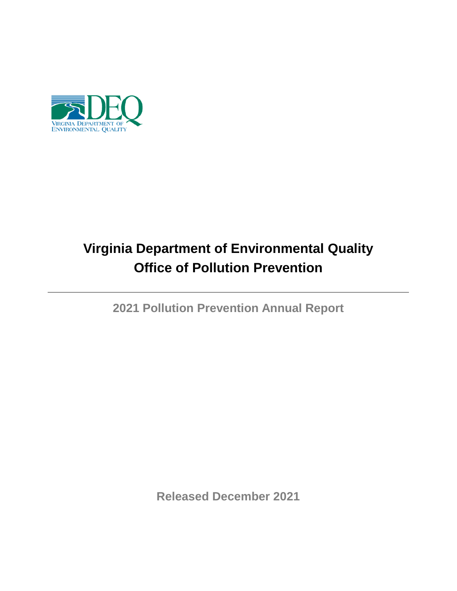

# **Virginia Department of Environmental Quality Office of Pollution Prevention**

**2021 Pollution Prevention Annual Report**

**Released December 2021**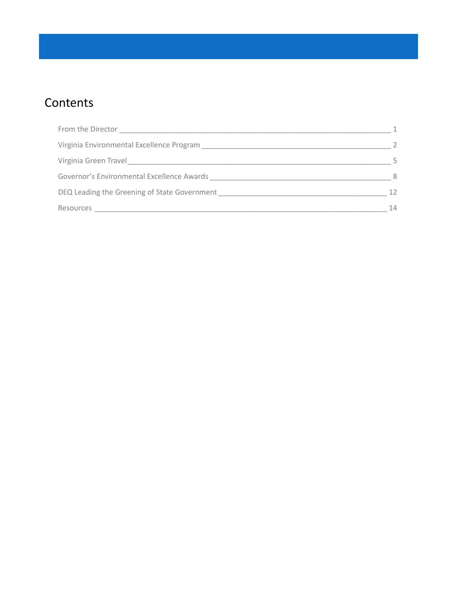# **Contents**

| From the Director                            |    |
|----------------------------------------------|----|
| Virginia Environmental Excellence Program    |    |
| Virginia Green Travel                        |    |
| Governor's Environmental Excellence Awards   | 8  |
| DEQ Leading the Greening of State Government | 12 |
| Resources                                    | 14 |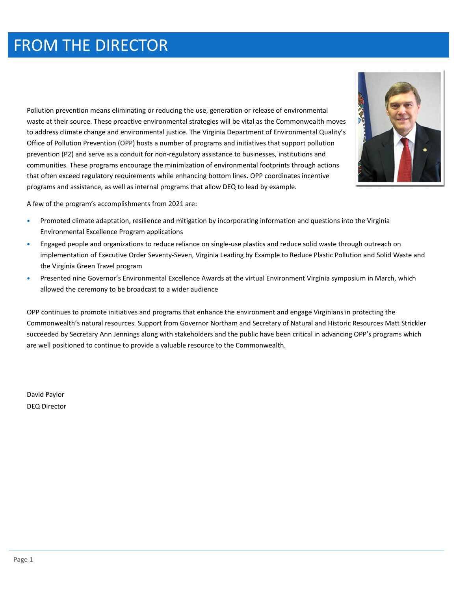# FROM THE DIRECTOR

Pollution prevention means eliminating or reducing the use, generation or release of environmental waste at their source. These proactive environmental strategies will be vital as the Commonwealth moves to address climate change and environmental justice. The Virginia Department of Environmental Quality's Office of Pollution Prevention (OPP) hosts a number of programs and initiatives that support pollution prevention (P2) and serve as a conduit for non-regulatory assistance to businesses, institutions and communities. These programs encourage the minimization of environmental footprints through actions that often exceed regulatory requirements while enhancing bottom lines. OPP coordinates incentive programs and assistance, as well as internal programs that allow DEQ to lead by example.



A few of the program's accomplishments from 2021 are:

- Promoted climate adaptation, resilience and mitigation by incorporating information and questions into the Virginia Environmental Excellence Program applications
- Engaged people and organizations to reduce reliance on single-use plastics and reduce solid waste through outreach on implementation of Executive Order Seventy-Seven, Virginia Leading by Example to Reduce Plastic Pollution and Solid Waste and the Virginia Green Travel program
- Presented nine Governor's Environmental Excellence Awards at the virtual Environment Virginia symposium in March, which allowed the ceremony to be broadcast to a wider audience

OPP continues to promote initiatives and programs that enhance the environment and engage Virginians in protecting the Commonwealth's natural resources. Support from Governor Northam and Secretary of Natural and Historic Resources Matt Strickler succeeded by Secretary Ann Jennings along with stakeholders and the public have been critical in advancing OPP's programs which are well positioned to continue to provide a valuable resource to the Commonwealth.

David Paylor DEQ Director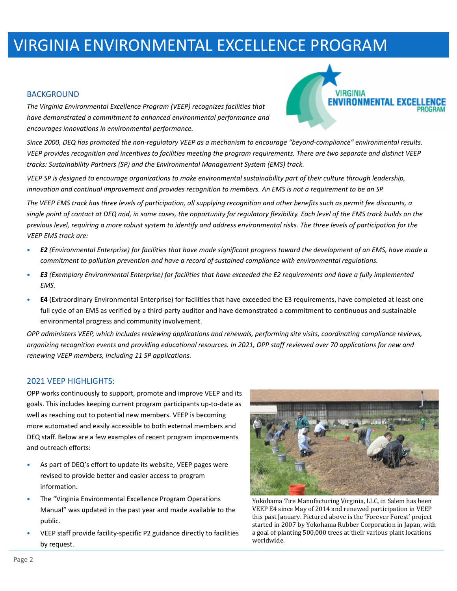# VIRGINIA ENVIRONMENTAL EXCELLENCE PROGRAM

#### BACKGROUND

*The Virginia Environmental Excellence Program (VEEP) recognizes facilities that have demonstrated a commitment to enhanced environmental performance and encourages innovations in environmental performance.* 

*Since 2000, DEQ has promoted the non-regulatory VEEP as a mechanism to encourage "beyond-compliance" environmental results. VEEP provides recognition and incentives to facilities meeting the program requirements. There are two separate and distinct VEEP tracks: Sustainability Partners (SP) and the Environmental Management System (EMS) track.* 

*VEEP SP is designed to encourage organizations to make environmental sustainability part of their culture through leadership, innovation and continual improvement and provides recognition to members. An EMS is not a requirement to be an SP.* 

*The VEEP EMS track has three levels of participation, all supplying recognition and other benefits such as permit fee discounts, a single point of contact at DEQ and, in some cases, the opportunity for regulatory flexibility. Each level of the EMS track builds on the previous level, requiring a more robust system to identify and address environmental risks. The three levels of participation for the VEEP EMS track are:* 

- *E2 (Environmental Enterprise) for facilities that have made significant progress toward the development of an EMS, have made a commitment to pollution prevention and have a record of sustained compliance with environmental regulations.*
- *E3 (Exemplary Environmental Enterprise) for facilities that have exceeded the E2 requirements and have a fully implemented EMS.*
- **E4** (Extraordinary Environmental Enterprise) for facilities that have exceeded the E3 requirements, have completed at least one full cycle of an EMS as verified by a third-party auditor and have demonstrated a commitment to continuous and sustainable environmental progress and community involvement.

*OPP administers VEEP, which includes reviewing applications and renewals, performing site visits, coordinating compliance reviews, organizing recognition events and providing educational resources. In 2021, OPP staff reviewed over 70 applications for new and renewing VEEP members, including 11 SP applications.*

### 2021 VEEP HIGHLIGHTS:

OPP works continuously to support, promote and improve VEEP and its goals. This includes keeping current program participants up-to-date as well as reaching out to potential new members. VEEP is becoming more automated and easily accessible to both external members and DEQ staff. Below are a few examples of recent program improvements and outreach efforts:

- As part of DEQ's effort to update its website, VEEP pages were revised to provide better and easier access to program information.
- The "Virginia Environmental Excellence Program Operations Manual" was updated in the past year and made available to the public.
- VEEP staff provide facility-specific P2 guidance directly to facilities by request.



**VIRGINIA** 

**ENVIRONMENTAL EX** 

Yokohama Tire Manufacturing Virginia, LLC, in Salem has been VEEP E4 since May of 2014 and renewed participation in VEEP this past January. Pictured above is the 'Forever Forest' project started in 2007 by Yokohama Rubber Corporation in Japan, with a goal of planting 500,000 trees at their various plant locations worldwide.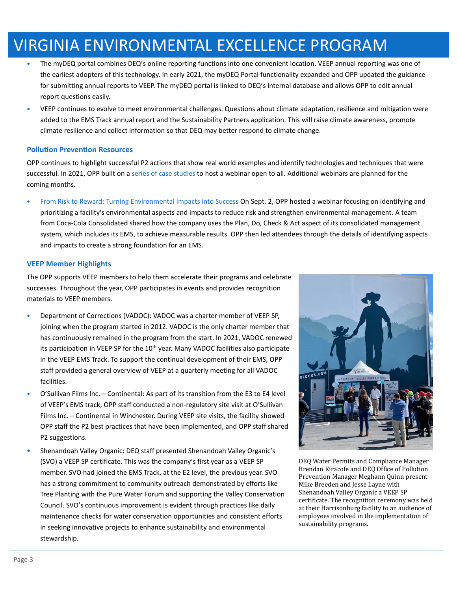# VIRGINIA ENVIRONMENTAL EXCELLENCE PROGRAM

- The myDEQ portal combines DEQ's online reporting functions into one convenient location. VEEP annual reporting was one of the earliest adopters of this technology. In early 2021, the myDEQ Portal functionality expanded and OPP updated the guidance for submitting annual reports to VEEP. The myDEQ portal is linked to DEQ's internal database and allows OPP to edit annual report questions easily.
- VEEP continues to evolve to meet environmental challenges. Questions about climate adaptation, resilience and mitigation were added to the EMS Track annual report and the Sustainability Partners application. This will raise climate awareness, promote climate resilience and collect information so that DEQ may better respond to climate change.

### **Pollution Prevention Resources**

OPP continues to highlight successful P2 actions that show real world examples and identify technologies and techniques that were successful. In 2021, OPP built on a series of case studies to host a webinar open to all. Additional webinars are planned for the coming months.

• From Risk to Reward: Turning Environmental Impacts into Success On Sept. 2, OPP hosted a webinar focusing on identifying and prioritizing a facility's environmental aspects and impacts to reduce risk and strengthen environmental management. A team from Coca-Cola Consolidated shared how the company uses the Plan, Do, Check & Act aspect of its consolidated management system, which includes its EMS, to achieve measurable results. OPP then led attendees through the details of identifying aspects and impacts to create a strong foundation for an EMS.

### **VEEP Member Highlights**

The OPP supports VEEP members to help them accelerate their programs and celebrate successes. Throughout the year, OPP participates in events and provides recognition materials to VEEP members.

- Department of Corrections (VADOC): VADOC was a charter member of VEEP SP, joining when the program started in 2012. VADOC is the only charter member that has continuously remained in the program from the start. In 2021, VADOC renewed its participation in VEEP SP for the 10<sup>th</sup> year. Many VADOC facilities also participate in the VEEP EMS Track. To support the continual development of their EMS, OPP staff provided a general overview of VEEP at a quarterly meeting for all VADOC facilities.
- O'Sullivan Films Inc. Continental: As part of its transition from the E3 to E4 level of VEEP's EMS track, OPP staff conducted a non-regulatory site visit at O'Sullivan Films Inc. – Continental in Winchester. During VEEP site visits, the facility showed OPP staff the P2 best practices that have been implemented, and OPP staff shared P2 suggestions.
- Shenandoah Valley Organic: DEQ staff presented Shenandoah Valley Organic's (SVO) a VEEP SP certificate. This was the company's first year as a VEEP SP member. SVO had joined the EMS Track, at the E2 level, the previous year. SVO has a strong commitment to community outreach demonstrated by efforts like Tree Planting with the Pure Water Forum and supporting the Valley Conservation Council. SVO's continuous improvement is evident through practices like daily maintenance checks for water conservation opportunities and consistent efforts in seeking innovative projects to enhance sustainability and environmental stewardship.



DEQ Water Permits and Compliance Manager Brendan Kiracofe and DEQ Office of Pollution Prevention Manager Meghann Quinn present Mike Breeden and Jesse Layne with Shenandoah Valley Organic a VEEP SP certificate. The recognition ceremony was held at their Harrisonburg facility to an audience of employees involved in the implementation of sustainability programs.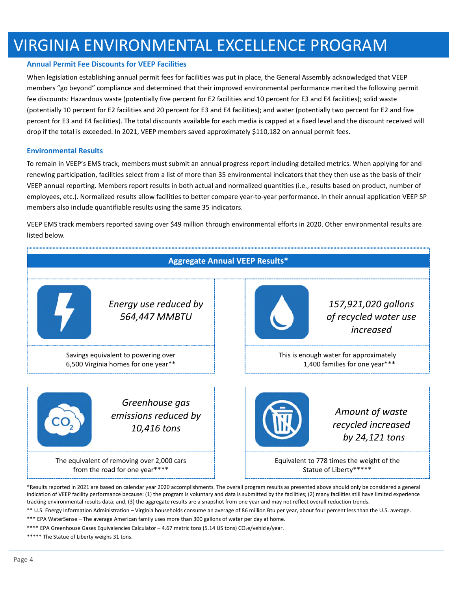# VIRGINIA ENVIRONMENTAL EXCELLENCE PROGRAM

#### **Annual Permit Fee Discounts for VEEP Facilies**

When legislation establishing annual permit fees for facilities was put in place, the General Assembly acknowledged that VEEP members "go beyond" compliance and determined that their improved environmental performance merited the following permit fee discounts: Hazardous waste (potentially five percent for E2 facilities and 10 percent for E3 and E4 facilities); solid waste (potentially 10 percent for E2 facilities and 20 percent for E3 and E4 facilities); and water (potentially two percent for E2 and five percent for E3 and E4 facilities). The total discounts available for each media is capped at a fixed level and the discount received will drop if the total is exceeded. In 2021, VEEP members saved approximately \$110,182 on annual permit fees.

#### **Environmental Results**

To remain in VEEP's EMS track, members must submit an annual progress report including detailed metrics. When applying for and renewing participation, facilities select from a list of more than 35 environmental indicators that they then use as the basis of their VEEP annual reporting. Members report results in both actual and normalized quantities (i.e., results based on product, number of employees, etc.). Normalized results allow facilities to better compare year-to-year performance. In their annual application VEEP SP members also include quantifiable results using the same 35 indicators.

VEEP EMS track members reported saving over \$49 million through environmental efforts in 2020. Other environmental results are listed below.



\*\* U.S. Energy Information Administration – Virginia households consume an average of 86 million Btu per year, about four percent less than the U.S. average.

\*\*\* EPA WaterSense – The average American family uses more than 300 gallons of water per day at home.

\*\*\*\* EPA Greenhouse Gases Equivalencies Calculator - 4.67 metric tons (5.14 US tons) CO<sub>2</sub>e/vehicle/year.

\*\*\*\*\* The Statue of Liberty weighs 31 tons.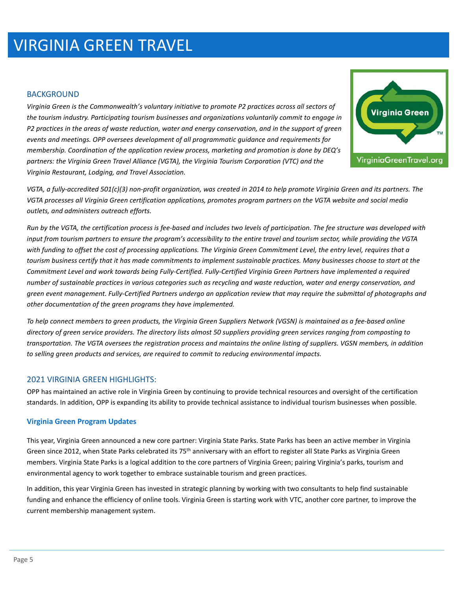# VIRGINIA GREEN TRAVEL

### BACKGROUND

*Virginia Green is the Commonwealth's voluntary initiative to promote P2 practices across all sectors of the tourism industry. Participating tourism businesses and organizations voluntarily commit to engage in P2 practices in the areas of waste reduction, water and energy conservation, and in the support of green events and meetings. OPP oversees development of all programmatic guidance and requirements for membership. Coordination of the application review process, marketing and promotion is done by DEQ's partners: the Virginia Green Travel Alliance (VGTA), the Virginia Tourism Corporation (VTC) and the Virginia Restaurant, Lodging, and Travel Association.* 



*VGTA, a fully-accredited 501(c)(3) non-profit organization, was created in 2014 to help promote Virginia Green and its partners. The VGTA processes all Virginia Green certification applications, promotes program partners on the VGTA website and social media outlets, and administers outreach efforts.* 

*Run by the VGTA, the certification process is fee-based and includes two levels of participation. The fee structure was developed with input from tourism partners to ensure the program's accessibility to the entire travel and tourism sector, while providing the VGTA with funding to offset the cost of processing applications. The Virginia Green Commitment Level, the entry level, requires that a tourism business certify that it has made commitments to implement sustainable practices. Many businesses choose to start at the Commitment Level and work towards being Fully-Certified. Fully-Certified Virginia Green Partners have implemented a required number of sustainable practices in various categories such as recycling and waste reduction, water and energy conservation, and green event management. Fully-Certified Partners undergo an application review that may require the submittal of photographs and other documentation of the green programs they have implemented.* 

*To help connect members to green products, the Virginia Green Suppliers Network (VGSN) is maintained as a fee-based online directory of green service providers. The directory lists almost 50 suppliers providing green services ranging from composting to transportation. The VGTA oversees the registration process and maintains the online listing of suppliers. VGSN members, in addition to selling green products and services, are required to commit to reducing environmental impacts.* 

# 2021 VIRGINIA GREEN HIGHLIGHTS:

OPP has maintained an active role in Virginia Green by continuing to provide technical resources and oversight of the certification standards. In addition, OPP is expanding its ability to provide technical assistance to individual tourism businesses when possible.

### **Virginia Green Program Updates**

This year, Virginia Green announced a new core partner: Virginia State Parks. State Parks has been an active member in Virginia Green since 2012, when State Parks celebrated its 75<sup>th</sup> anniversary with an effort to register all State Parks as Virginia Green members. Virginia State Parks is a logical addition to the core partners of Virginia Green; pairing Virginia's parks, tourism and environmental agency to work together to embrace sustainable tourism and green practices.

In addition, this year Virginia Green has invested in strategic planning by working with two consultants to help find sustainable funding and enhance the efficiency of online tools. Virginia Green is starting work with VTC, another core partner, to improve the current membership management system.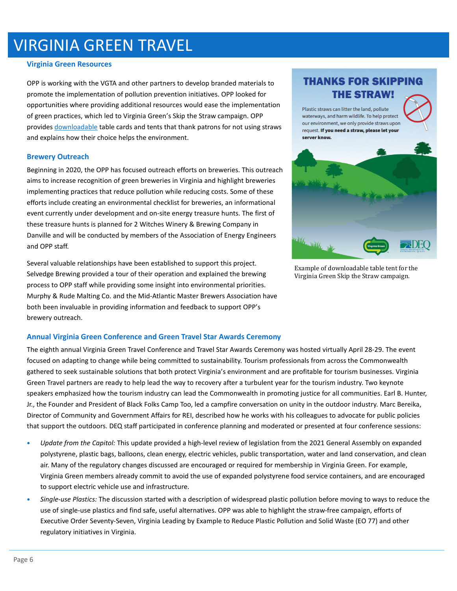# VIRGINIA GREEN TRAVEL

#### **Virginia Green Resources**

OPP is working with the VGTA and other partners to develop branded materials to promote the implementation of pollution prevention initiatives. OPP looked for opportunities where providing additional resources would ease the implementation of green practices, which led to Virginia Green's Skip the Straw campaign. OPP provides downloadable table cards and tents that thank patrons for not using straws and explains how their choice helps the environment.

#### **Brewery Outreach**

Beginning in 2020, the OPP has focused outreach efforts on breweries. This outreach aims to increase recognition of green breweries in Virginia and highlight breweries implementing practices that reduce pollution while reducing costs. Some of these efforts include creating an environmental checklist for breweries, an informational event currently under development and on-site energy treasure hunts. The first of these treasure hunts is planned for 2 Witches Winery & Brewing Company in Danville and will be conducted by members of the Association of Energy Engineers and OPP staff.

Several valuable relationships have been established to support this project. Selvedge Brewing provided a tour of their operation and explained the brewing process to OPP staff while providing some insight into environmental priorities. Murphy & Rude Malting Co. and the Mid-Atlantic Master Brewers Association have both been invaluable in providing information and feedback to support OPP's brewery outreach.

### **Annual Virginia Green Conference and Green Travel Star Awards Ceremony**

The eighth annual Virginia Green Travel Conference and Travel Star Awards Ceremony was hosted virtually April 28-29. The event focused on adapting to change while being committed to sustainability. Tourism professionals from across the Commonwealth gathered to seek sustainable solutions that both protect Virginia's environment and are profitable for tourism businesses. Virginia Green Travel partners are ready to help lead the way to recovery after a turbulent year for the tourism industry. Two keynote speakers emphasized how the tourism industry can lead the Commonwealth in promoting justice for all communities. Earl B. Hunter, Jr., the Founder and President of Black Folks Camp Too, led a campfire conversation on unity in the outdoor industry. Marc Bereika, Director of Community and Government Affairs for REI, described how he works with his colleagues to advocate for public policies that support the outdoors. DEQ staff participated in conference planning and moderated or presented at four conference sessions:

- *Update from the Capitol:* This update provided a high-level review of legislation from the 2021 General Assembly on expanded polystyrene, plastic bags, balloons, clean energy, electric vehicles, public transportation, water and land conservation, and clean air. Many of the regulatory changes discussed are encouraged or required for membership in Virginia Green. For example, Virginia Green members already commit to avoid the use of expanded polystyrene food service containers, and are encouraged to support electric vehicle use and infrastructure.
- *Single-use Plastics:* The discussion started with a description of widespread plastic pollution before moving to ways to reduce the use of single-use plastics and find safe, useful alternatives. OPP was able to highlight the straw-free campaign, efforts of Executive Order Seventy-Seven, Virginia Leading by Example to Reduce Plastic Pollution and Solid Waste (EO 77) and other regulatory initiatives in Virginia.

# **THANKS FOR SKIPPING THE STRAW!**

Plastic straws can litter the land, pollute waterways, and harm wildlife. To help protect our environment, we only provide straws upon request. If you need a straw, please let your server know.



Example of downloadable table tent for the Virginia Green Skip the Straw campaign.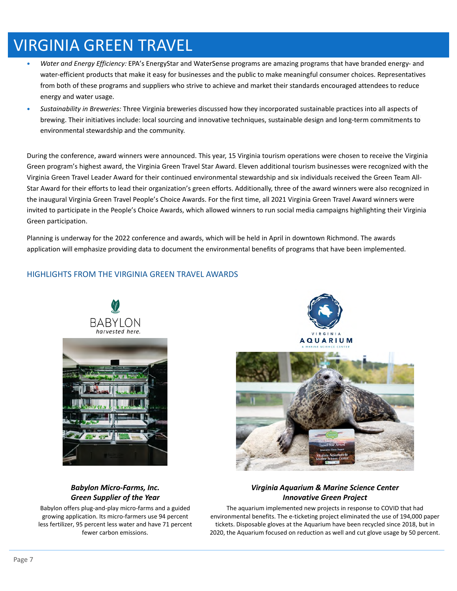# VIRGINIA GREEN TRAVEL

- *Water and Energy Efficiency:* EPA's EnergyStar and WaterSense programs are amazing programs that have branded energy- and water-efficient products that make it easy for businesses and the public to make meaningful consumer choices. Representatives from both of these programs and suppliers who strive to achieve and market their standards encouraged attendees to reduce energy and water usage.
- *Sustainability in Breweries:* Three Virginia breweries discussed how they incorporated sustainable practices into all aspects of brewing. Their initiatives include: local sourcing and innovative techniques, sustainable design and long-term commitments to environmental stewardship and the community.

During the conference, award winners were announced. This year, 15 Virginia tourism operations were chosen to receive the Virginia Green program's highest award, the Virginia Green Travel Star Award. Eleven additional tourism businesses were recognized with the Virginia Green Travel Leader Award for their continued environmental stewardship and six individuals received the Green Team All-Star Award for their efforts to lead their organization's green efforts. Additionally, three of the award winners were also recognized in the inaugural Virginia Green Travel People's Choice Awards. For the first time, all 2021 Virginia Green Travel Award winners were invited to participate in the People's Choice Awards, which allowed winners to run social media campaigns highlighting their Virginia Green participation.

Planning is underway for the 2022 conference and awards, which will be held in April in downtown Richmond. The awards application will emphasize providing data to document the environmental benefits of programs that have been implemented.

# HIGHLIGHTS FROM THE VIRGINIA GREEN TRAVEL AWARDS





# *Babylon Micro-Farms, Inc. Green Supplier of the Year*

Babylon offers plug-and-play micro-farms and a guided growing application. Its micro-farmers use 94 percent less fertilizer, 95 percent less water and have 71 percent fewer carbon emissions.

# *Virginia Aquarium & Marine Science Center Innovative Green Project*

The aquarium implemented new projects in response to COVID that had environmental benefits. The e-ticketing project eliminated the use of 194,000 paper tickets. Disposable gloves at the Aquarium have been recycled since 2018, but in 2020, the Aquarium focused on reduction as well and cut glove usage by 50 percent.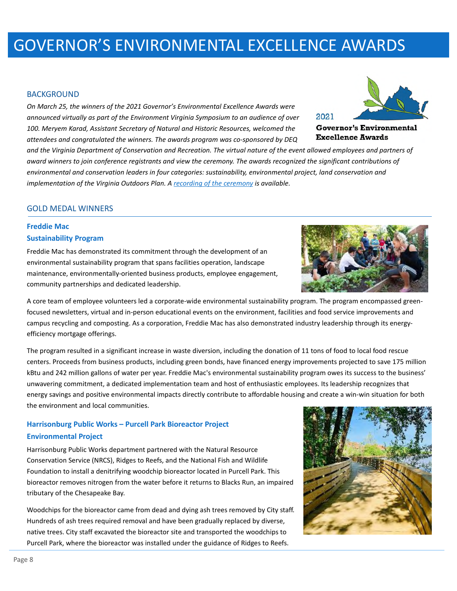#### BACKGROUND

*On March 25, the winners of the 2021 Governor's Environmental Excellence Awards were announced virtually as part of the Environment Virginia Symposium to an audience of over 100. Meryem Karad, Assistant Secretary of Natural and Historic Resources, welcomed the attendees and congratulated the winners. The awards program was co-sponsored by DEQ* 

*and the Virginia Department of Conservation and Recreation. The virtual nature of the event allowed employees and partners of award winners to join conference registrants and view the ceremony. The awards recognized the significant contributions of environmental and conservation leaders in four categories: sustainability, environmental project, land conservation and implementation of the Virginia Outdoors Plan. A recording of the ceremony is available.*

### GOLD MEDAL WINNERS

# **Freddie Mac Sustainability Program**

Freddie Mac has demonstrated its commitment through the development of an environmental sustainability program that spans facilities operation, landscape maintenance, environmentally-oriented business products, employee engagement, community partnerships and dedicated leadership.

A core team of employee volunteers led a corporate-wide environmental sustainability program. The program encompassed greenfocused newsletters, virtual and in-person educational events on the environment, facilities and food service improvements and campus recycling and composting. As a corporation, Freddie Mac has also demonstrated industry leadership through its energyefficiency mortgage offerings.

The program resulted in a significant increase in waste diversion, including the donation of 11 tons of food to local food rescue centers. Proceeds from business products, including green bonds, have financed energy improvements projected to save 175 million kBtu and 242 million gallons of water per year. Freddie Mac's environmental sustainability program owes its success to the business' unwavering commitment, a dedicated implementation team and host of enthusiastic employees. Its leadership recognizes that energy savings and positive environmental impacts directly contribute to affordable housing and create a win-win situation for both the environment and local communities.

# **Harrisonburg Public Works – Purcell Park Bioreactor Project Environmental Project**

Harrisonburg Public Works department partnered with the Natural Resource Conservation Service (NRCS), Ridges to Reefs, and the National Fish and Wildlife Foundation to install a denitrifying woodchip bioreactor located in Purcell Park. This bioreactor removes nitrogen from the water before it returns to Blacks Run, an impaired tributary of the Chesapeake Bay.

Woodchips for the bioreactor came from dead and dying ash trees removed by City staff. Hundreds of ash trees required removal and have been gradually replaced by diverse, native trees. City staff excavated the bioreactor site and transported the woodchips to Purcell Park, where the bioreactor was installed under the guidance of Ridges to Reefs.







**Governor's Environmental Excellence Awards**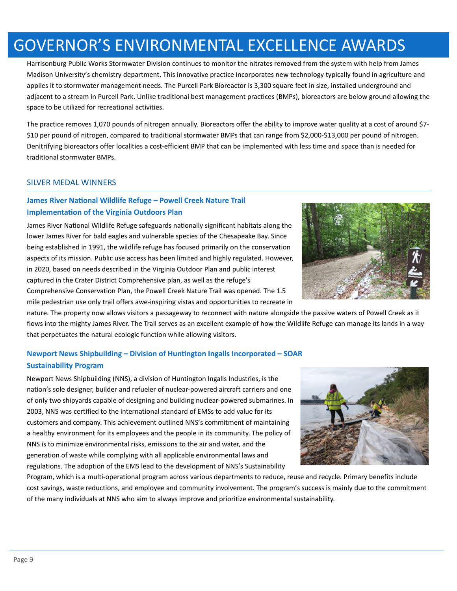Harrisonburg Public Works Stormwater Division continues to monitor the nitrates removed from the system with help from James Madison University's chemistry department. This innovative practice incorporates new technology typically found in agriculture and applies it to stormwater management needs. The Purcell Park Bioreactor is 3,300 square feet in size, installed underground and adjacent to a stream in Purcell Park. Unlike traditional best management practices (BMPs), bioreactors are below ground allowing the space to be utilized for recreational activities.

The practice removes 1,070 pounds of nitrogen annually. Bioreactors offer the ability to improve water quality at a cost of around \$7- \$10 per pound of nitrogen, compared to traditional stormwater BMPs that can range from \$2,000-\$13,000 per pound of nitrogen. Denitrifying bioreactors offer localities a cost-efficient BMP that can be implemented with less time and space than is needed for traditional stormwater BMPs.

# SILVER MEDAL WINNERS

# **James River National Wildlife Refuge - Powell Creek Nature Trail Implementation of the Virginia Outdoors Plan**

James River National Wildlife Refuge safeguards nationally significant habitats along the lower James River for bald eagles and vulnerable species of the Chesapeake Bay. Since being established in 1991, the wildlife refuge has focused primarily on the conservation aspects of its mission. Public use access has been limited and highly regulated. However, in 2020, based on needs described in the Virginia Outdoor Plan and public interest captured in the Crater District Comprehensive plan, as well as the refuge's Comprehensive Conservation Plan, the Powell Creek Nature Trail was opened. The 1.5

mile pedestrian use only trail offers awe-inspiring vistas and opportunities to recreate in

nature. The property now allows visitors a passageway to reconnect with nature alongside the passive waters of Powell Creek as it flows into the mighty James River. The Trail serves as an excellent example of how the Wildlife Refuge can manage its lands in a way that perpetuates the natural ecologic function while allowing visitors.

# **Newport News Shipbuilding – Division of Huntington Ingalls Incorporated – SOAR Sustainability Program**

Newport News Shipbuilding (NNS), a division of Huntington Ingalls Industries, is the nation's sole designer, builder and refueler of nuclear-powered aircraft carriers and one of only two shipyards capable of designing and building nuclear-powered submarines. In 2003, NNS was certified to the international standard of EMSs to add value for its customers and company. This achievement outlined NNS's commitment of maintaining a healthy environment for its employees and the people in its community. The policy of NNS is to minimize environmental risks, emissions to the air and water, and the generation of waste while complying with all applicable environmental laws and regulations. The adoption of the EMS lead to the development of NNS's Sustainability

Program, which is a multi-operational program across various departments to reduce, reuse and recycle. Primary benefits include cost savings, waste reductions, and employee and community involvement. The program's success is mainly due to the commitment of the many individuals at NNS who aim to always improve and prioritize environmental sustainability.



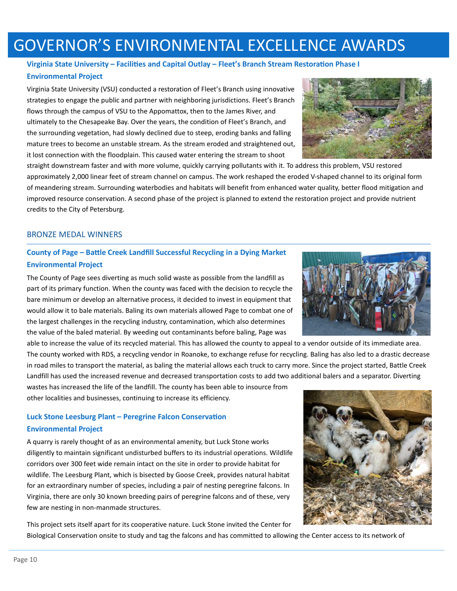# **Virginia State University – Facilies and Capital Outlay – Fleet's Branch Stream Restoraon Phase I**

### **Environmental Project**

Virginia State University (VSU) conducted a restoration of Fleet's Branch using innovative strategies to engage the public and partner with neighboring jurisdictions. Fleet's Branch flows through the campus of VSU to the Appomattox, then to the James River, and ultimately to the Chesapeake Bay. Over the years, the condition of Fleet's Branch, and the surrounding vegetation, had slowly declined due to steep, eroding banks and falling mature trees to become an unstable stream. As the stream eroded and straightened out, it lost connection with the floodplain. This caused water entering the stream to shoot

straight downstream faster and with more volume, quickly carrying pollutants with it. To address this problem, VSU restored approximately 2,000 linear feet of stream channel on campus. The work reshaped the eroded V-shaped channel to its original form of meandering stream. Surrounding waterbodies and habitats will benefit from enhanced water quality, better flood mitigation and improved resource conservation. A second phase of the project is planned to extend the restoration project and provide nutrient credits to the City of Petersburg.

# BRONZE MEDAL WINNERS

# **County of Page – Battle Creek Landfill Successful Recycling in a Dying Market Environmental Project**

The County of Page sees diverting as much solid waste as possible from the landfill as part of its primary function. When the county was faced with the decision to recycle the bare minimum or develop an alternative process, it decided to invest in equipment that would allow it to bale materials. Baling its own materials allowed Page to combat one of the largest challenges in the recycling industry, contamination, which also determines the value of the baled material. By weeding out contaminants before baling, Page was

able to increase the value of its recycled material. This has allowed the county to appeal to a vendor outside of its immediate area. The county worked with RDS, a recycling vendor in Roanoke, to exchange refuse for recycling. Baling has also led to a drastic decrease in road miles to transport the material, as baling the material allows each truck to carry more. Since the project started, Battle Creek Landfill has used the increased revenue and decreased transportation costs to add two additional balers and a separator. Diverting

wastes has increased the life of the landfill. The county has been able to insource from other localities and businesses, continuing to increase its efficiency.

# **Luck Stone Leesburg Plant – Peregrine Falcon Conservation Environmental Project**

A quarry is rarely thought of as an environmental amenity, but Luck Stone works diligently to maintain significant undisturbed buffers to its industrial operations. Wildlife corridors over 300 feet wide remain intact on the site in order to provide habitat for wildlife. The Leesburg Plant, which is bisected by Goose Creek, provides natural habitat for an extraordinary number of species, including a pair of nesting peregrine falcons. In Virginia, there are only 30 known breeding pairs of peregrine falcons and of these, very few are nesting in non-manmade structures.

This project sets itself apart for its cooperative nature. Luck Stone invited the Center for Biological Conservation onsite to study and tag the falcons and has committed to allowing the Center access to its network of





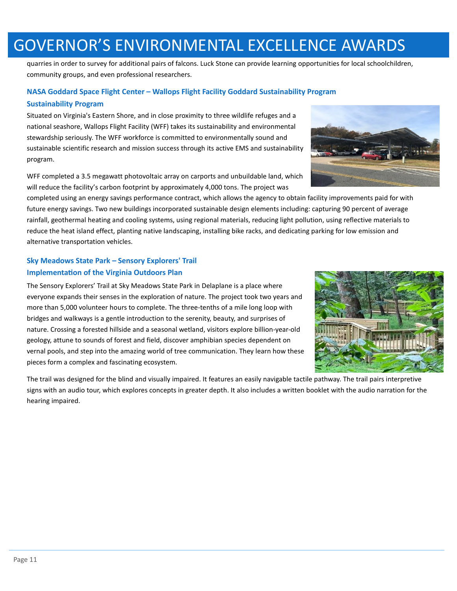quarries in order to survey for additional pairs of falcons. Luck Stone can provide learning opportunities for local schoolchildren, community groups, and even professional researchers.

# **NASA Goddard Space Flight Center – Wallops Flight Facility Goddard Sustainability Program Sustainability Program**

Situated on Virginia's Eastern Shore, and in close proximity to three wildlife refuges and a national seashore, Wallops Flight Facility (WFF) takes its sustainability and environmental stewardship seriously. The WFF workforce is committed to environmentally sound and sustainable scientific research and mission success through its active EMS and sustainability program.

WFF completed a 3.5 megawatt photovoltaic array on carports and unbuildable land, which will reduce the facility's carbon footprint by approximately 4,000 tons. The project was

completed using an energy savings performance contract, which allows the agency to obtain facility improvements paid for with future energy savings. Two new buildings incorporated sustainable design elements including: capturing 90 percent of average rainfall, geothermal heating and cooling systems, using regional materials, reducing light pollution, using reflective materials to reduce the heat island effect, planting native landscaping, installing bike racks, and dedicating parking for low emission and alternative transportation vehicles.

# **Sky Meadows State Park – Sensory Explorers' Trail Implementation of the Virginia Outdoors Plan**

The Sensory Explorers' Trail at Sky Meadows State Park in Delaplane is a place where everyone expands their senses in the exploration of nature. The project took two years and more than 5,000 volunteer hours to complete. The three-tenths of a mile long loop with bridges and walkways is a gentle introduction to the serenity, beauty, and surprises of nature. Crossing a forested hillside and a seasonal wetland, visitors explore billion-year-old geology, attune to sounds of forest and field, discover amphibian species dependent on vernal pools, and step into the amazing world of tree communication. They learn how these pieces form a complex and fascinating ecosystem.

The trail was designed for the blind and visually impaired. It features an easily navigable tactile pathway. The trail pairs interpretive signs with an audio tour, which explores concepts in greater depth. It also includes a written booklet with the audio narration for the hearing impaired.





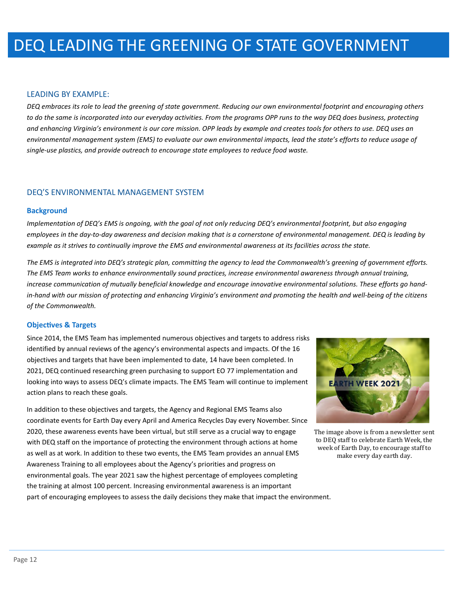### LEADING BY EXAMPLE:

*DEQ embraces its role to lead the greening of state government. Reducing our own environmental footprint and encouraging others to do the same is incorporated into our everyday activities. From the programs OPP runs to the way DEQ does business, protecting and enhancing Virginia's environment is our core mission. OPP leads by example and creates tools for others to use. DEQ uses an environmental management system (EMS) to evaluate our own environmental impacts, lead the state's efforts to reduce usage of single-use plastics, and provide outreach to encourage state employees to reduce food waste.* 

### DEQ'S ENVIRONMENTAL MANAGEMENT SYSTEM

#### **Background**

*Implementation of DEQ's EMS is ongoing, with the goal of not only reducing DEQ's environmental footprint, but also engaging employees in the day-to-day awareness and decision making that is a cornerstone of environmental management. DEQ is leading by example as it strives to continually improve the EMS and environmental awareness at its facilities across the state.*

*The EMS is integrated into DEQ's strategic plan, committing the agency to lead the Commonwealth's greening of government efforts. The EMS Team works to enhance environmentally sound practices, increase environmental awareness through annual training, increase communication of mutually beneficial knowledge and encourage innovative environmental solutions. These efforts go handin-hand with our mission of protecting and enhancing Virginia's environment and promoting the health and well-being of the citizens of the Commonwealth.*

### **Objectives & Targets**

Since 2014, the EMS Team has implemented numerous objectives and targets to address risks identified by annual reviews of the agency's environmental aspects and impacts. Of the 16 objectives and targets that have been implemented to date, 14 have been completed. In 2021, DEQ continued researching green purchasing to support EO 77 implementation and looking into ways to assess DEQ's climate impacts. The EMS Team will continue to implement action plans to reach these goals.

In addition to these objectives and targets, the Agency and Regional EMS Teams also coordinate events for Earth Day every April and America Recycles Day every November. Since 2020, these awareness events have been virtual, but still serve as a crucial way to engage with DEQ staff on the importance of protecting the environment through actions at home as well as at work. In addition to these two events, the EMS Team provides an annual EMS Awareness Training to all employees about the Agency's priorities and progress on environmental goals. The year 2021 saw the highest percentage of employees completing the training at almost 100 percent. Increasing environmental awareness is an important part of encouraging employees to assess the daily decisions they make that impact the environment.



The image above is from a newsletter sent to DEQ staff to celebrate Earth Week, the week of Earth Day, to encourage staff to make every day earth day.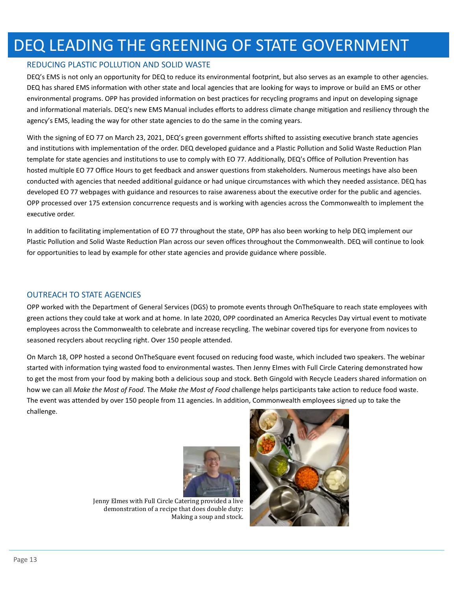# DEQ LEADING THE GREENING OF STATE GOVERNMENT

#### REDUCING PLASTIC POLLUTION AND SOLID WASTE

DEQ's EMS is not only an opportunity for DEQ to reduce its environmental footprint, but also serves as an example to other agencies. DEQ has shared EMS information with other state and local agencies that are looking for ways to improve or build an EMS or other environmental programs. OPP has provided information on best practices for recycling programs and input on developing signage and informational materials. DEQ's new EMS Manual includes efforts to address climate change mitigation and resiliency through the agency's EMS, leading the way for other state agencies to do the same in the coming years.

With the signing of EO 77 on March 23, 2021, DEQ's green government efforts shifted to assisting executive branch state agencies and institutions with implementation of the order. DEQ developed guidance and a Plastic Pollution and Solid Waste Reduction Plan template for state agencies and institutions to use to comply with EO 77. Additionally, DEQ's Office of Pollution Prevention has hosted multiple EO 77 Office Hours to get feedback and answer questions from stakeholders. Numerous meetings have also been conducted with agencies that needed additional guidance or had unique circumstances with which they needed assistance. DEQ has developed EO 77 webpages with guidance and resources to raise awareness about the executive order for the public and agencies. OPP processed over 175 extension concurrence requests and is working with agencies across the Commonwealth to implement the executive order.

In addition to facilitating implementation of EO 77 throughout the state, OPP has also been working to help DEQ implement our Plastic Pollution and Solid Waste Reduction Plan across our seven offices throughout the Commonwealth. DEQ will continue to look for opportunities to lead by example for other state agencies and provide guidance where possible.

#### OUTREACH TO STATE AGENCIES

OPP worked with the Department of General Services (DGS) to promote events through OnTheSquare to reach state employees with green actions they could take at work and at home. In late 2020, OPP coordinated an America Recycles Day virtual event to motivate employees across the Commonwealth to celebrate and increase recycling. The webinar covered tips for everyone from novices to seasoned recyclers about recycling right. Over 150 people attended.

On March 18, OPP hosted a second OnTheSquare event focused on reducing food waste, which included two speakers. The webinar started with information tying wasted food to environmental wastes. Then Jenny Elmes with Full Circle Catering demonstrated how to get the most from your food by making both a delicious soup and stock. Beth Gingold with Recycle Leaders shared information on how we can all *Make the Most of Food*. The *Make the Most of Food* challenge helps participants take action to reduce food waste. The event was attended by over 150 people from 11 agencies. In addition, Commonwealth employees signed up to take the challenge.



Jenny Elmes with Full Circle Catering provided a live demonstration of a recipe that does double duty: Making a soup and stock.